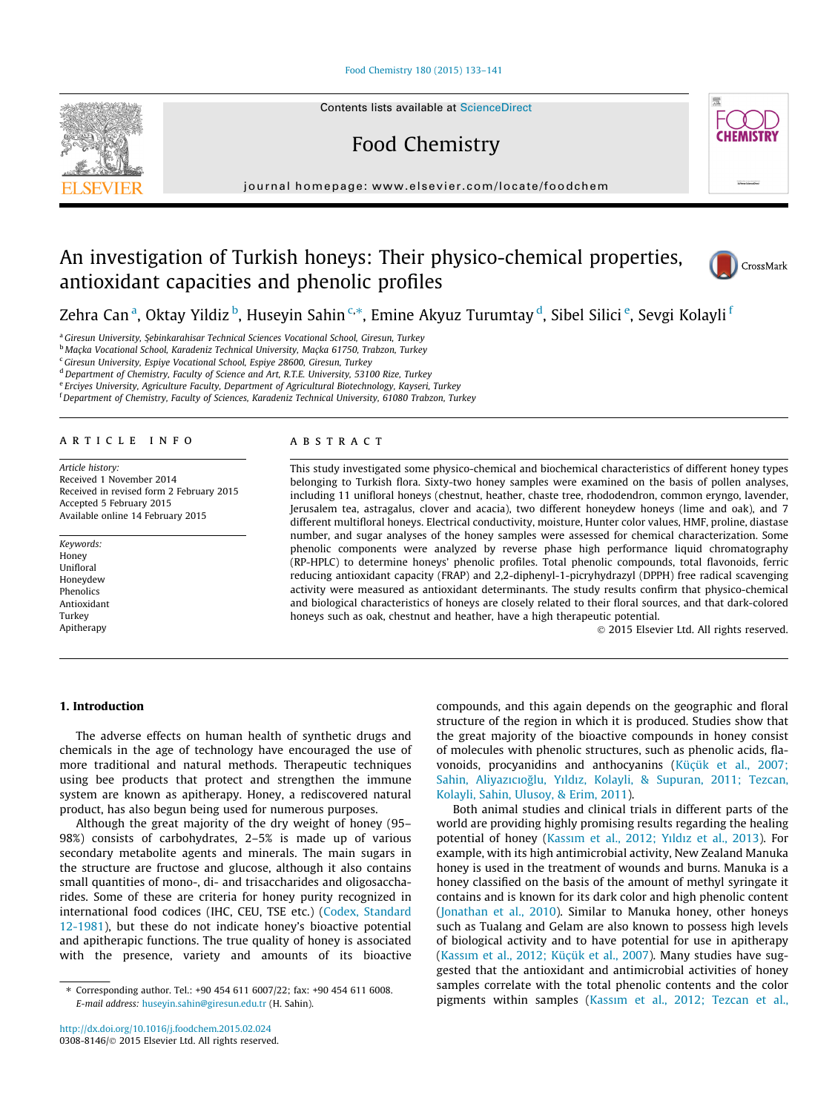# [Food Chemistry 180 \(2015\) 133–141](http://dx.doi.org/10.1016/j.foodchem.2015.02.024)



Contents lists available at [ScienceDirect](http://www.sciencedirect.com/science/journal/03088146)

Food Chemistry



journal homepage: [www.elsevier.com/locate/foodchem](http://www.elsevier.com/locate/foodchem)

# An investigation of Turkish honeys: Their physico-chemical properties, antioxidant capacities and phenolic profiles



Zehra Can<sup>a</sup>, Oktay Yildiz <sup>b</sup>, Huseyin Sahin <sup>c,</sup>\*, Emine Akyuz Turumtay <sup>d</sup>, Sibel Silici <sup>e</sup>, Sevgi Kolayli <sup>f</sup>

<sup>a</sup> Giresun University, Şebinkarahisar Technical Sciences Vocational School, Giresun, Turkey

<sup>b</sup> Maçka Vocational School, Karadeniz Technical University, Maçka 61750, Trabzon, Turkey

<sup>c</sup> Giresun University, Espiye Vocational School, Espiye 28600, Giresun, Turkey

<sup>d</sup> Department of Chemistry, Faculty of Science and Art, R.T.E. University, 53100 Rize, Turkey

<sup>e</sup> Erciyes University, Agriculture Faculty, Department of Agricultural Biotechnology, Kayseri, Turkey

f Department of Chemistry, Faculty of Sciences, Karadeniz Technical University, 61080 Trabzon, Turkey

# article info

Article history: Received 1 November 2014 Received in revised form 2 February 2015 Accepted 5 February 2015 Available online 14 February 2015

Keywords: Honey Unifloral Honeydew Phenolics Antioxidant Turkey Apitherapy

# ABSTRACT

This study investigated some physico-chemical and biochemical characteristics of different honey types belonging to Turkish flora. Sixty-two honey samples were examined on the basis of pollen analyses, including 11 unifloral honeys (chestnut, heather, chaste tree, rhododendron, common eryngo, lavender, Jerusalem tea, astragalus, clover and acacia), two different honeydew honeys (lime and oak), and 7 different multifloral honeys. Electrical conductivity, moisture, Hunter color values, HMF, proline, diastase number, and sugar analyses of the honey samples were assessed for chemical characterization. Some phenolic components were analyzed by reverse phase high performance liquid chromatography (RP-HPLC) to determine honeys' phenolic profiles. Total phenolic compounds, total flavonoids, ferric reducing antioxidant capacity (FRAP) and 2,2-diphenyl-1-picryhydrazyl (DPPH) free radical scavenging activity were measured as antioxidant determinants. The study results confirm that physico-chemical and biological characteristics of honeys are closely related to their floral sources, and that dark-colored honeys such as oak, chestnut and heather, have a high therapeutic potential.

- 2015 Elsevier Ltd. All rights reserved.

# 1. Introduction

The adverse effects on human health of synthetic drugs and chemicals in the age of technology have encouraged the use of more traditional and natural methods. Therapeutic techniques using bee products that protect and strengthen the immune system are known as apitherapy. Honey, a rediscovered natural product, has also begun being used for numerous purposes.

Although the great majority of the dry weight of honey (95– 98%) consists of carbohydrates, 2–5% is made up of various secondary metabolite agents and minerals. The main sugars in the structure are fructose and glucose, although it also contains small quantities of mono-, di- and trisaccharides and oligosaccharides. Some of these are criteria for honey purity recognized in international food codices (IHC, CEU, TSE etc.) ([Codex, Standard](#page-8-0) [12-1981](#page-8-0)), but these do not indicate honey's bioactive potential and apitherapic functions. The true quality of honey is associated with the presence, variety and amounts of its bioactive compounds, and this again depends on the geographic and floral structure of the region in which it is produced. Studies show that the great majority of the bioactive compounds in honey consist of molecules with phenolic structures, such as phenolic acids, flavonoids, procyanidins and anthocyanins [\(Küçük et al., 2007;](#page-8-0) [Sahin, Aliyazıc](#page-8-0)ıoğlu, Yı[ld](#page-8-0)ı[z, Kolayli, & Supuran, 2011; Tezcan,](#page-8-0) [Kolayli, Sahin, Ulusoy, & Erim, 2011\)](#page-8-0).

Both animal studies and clinical trials in different parts of the world are providing highly promising results regarding the healing potential of honey [\(Kass](#page-8-0)ı[m et al., 2012; Y](#page-8-0)ı[ldız et al., 2013\)](#page-8-0). For example, with its high antimicrobial activity, New Zealand Manuka honey is used in the treatment of wounds and burns. Manuka is a honey classified on the basis of the amount of methyl syringate it contains and is known for its dark color and high phenolic content ([Jonathan et al., 2010\)](#page-8-0). Similar to Manuka honey, other honeys such as Tualang and Gelam are also known to possess high levels of biological activity and to have potential for use in apitherapy ([Kass](#page-8-0)ı[m et al., 2012; Küçük et al., 2007](#page-8-0)). Many studies have suggested that the antioxidant and antimicrobial activities of honey samples correlate with the total phenolic contents and the color pigments within samples ([Kassım et al., 2012; Tezcan et al.,](#page-8-0)

<sup>⇑</sup> Corresponding author. Tel.: +90 454 611 6007/22; fax: +90 454 611 6008. E-mail address: [huseyin.sahin@giresun.edu.tr](mailto:huseyin.sahin@giresun.edu.tr) (H. Sahin).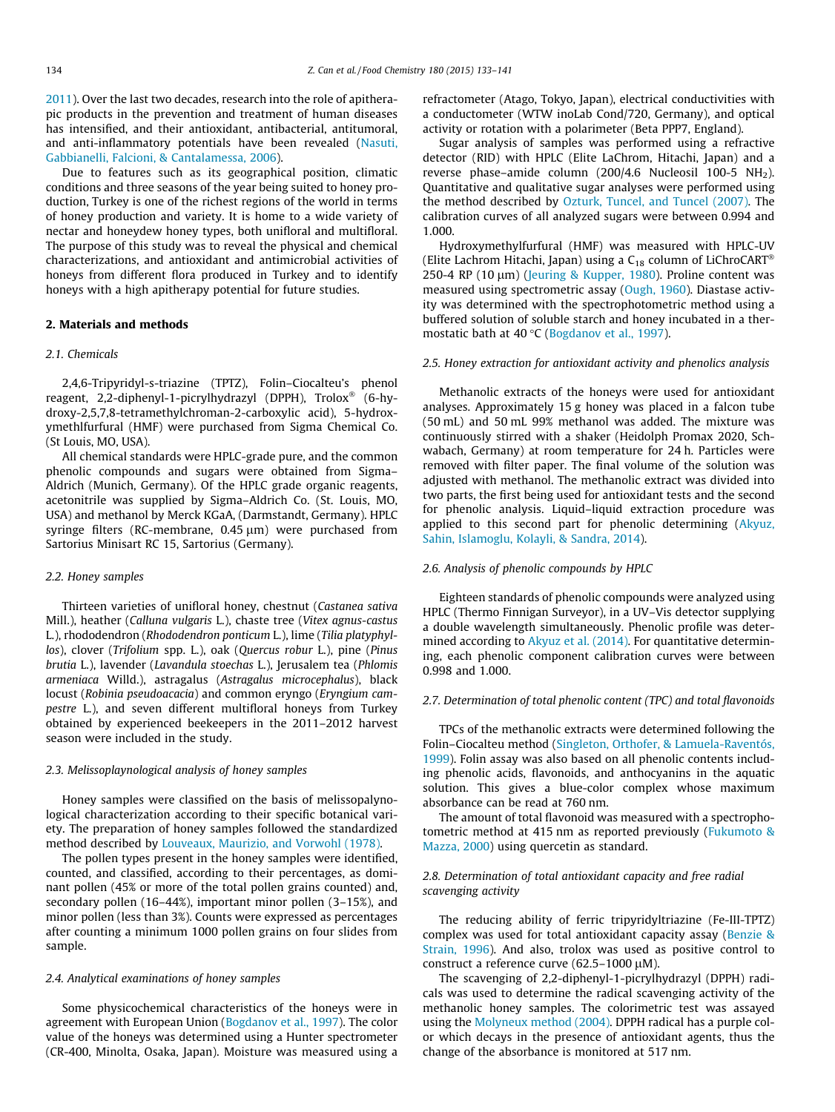[2011\)](#page-8-0). Over the last two decades, research into the role of apitherapic products in the prevention and treatment of human diseases has intensified, and their antioxidant, antibacterial, antitumoral, and anti-inflammatory potentials have been revealed [\(Nasuti,](#page-8-0) [Gabbianelli, Falcioni, & Cantalamessa, 2006](#page-8-0)).

Due to features such as its geographical position, climatic conditions and three seasons of the year being suited to honey production, Turkey is one of the richest regions of the world in terms of honey production and variety. It is home to a wide variety of nectar and honeydew honey types, both unifloral and multifloral. The purpose of this study was to reveal the physical and chemical characterizations, and antioxidant and antimicrobial activities of honeys from different flora produced in Turkey and to identify honeys with a high apitherapy potential for future studies.

## 2. Materials and methods

#### 2.1. Chemicals

2,4,6-Tripyridyl-s-triazine (TPTZ), Folin–Ciocalteu's phenol reagent, 2,2-diphenyl-1-picrylhydrazyl (DPPH), Trolox® (6-hydroxy-2,5,7,8-tetramethylchroman-2-carboxylic acid), 5-hydroxymethlfurfural (HMF) were purchased from Sigma Chemical Co. (St Louis, MO, USA).

All chemical standards were HPLC-grade pure, and the common phenolic compounds and sugars were obtained from Sigma– Aldrich (Munich, Germany). Of the HPLC grade organic reagents, acetonitrile was supplied by Sigma–Aldrich Co. (St. Louis, MO, USA) and methanol by Merck KGaA, (Darmstandt, Germany). HPLC syringe filters (RC-membrane,  $0.45 \mu m$ ) were purchased from Sartorius Minisart RC 15, Sartorius (Germany).

# 2.2. Honey samples

Thirteen varieties of unifloral honey, chestnut (Castanea sativa Mill.), heather (Calluna vulgaris L.), chaste tree (Vitex agnus-castus L.), rhododendron (Rhododendron ponticum L.), lime (Tilia platyphyllos), clover (Trifolium spp. L.), oak (Quercus robur L.), pine (Pinus brutia L.), lavender (Lavandula stoechas L.), Jerusalem tea (Phlomis armeniaca Willd.), astragalus (Astragalus microcephalus), black locust (Robinia pseudoacacia) and common eryngo (Eryngium campestre L.), and seven different multifloral honeys from Turkey obtained by experienced beekeepers in the 2011–2012 harvest season were included in the study.

# 2.3. Melissoplaynological analysis of honey samples

Honey samples were classified on the basis of melissopalynological characterization according to their specific botanical variety. The preparation of honey samples followed the standardized method described by [Louveaux, Maurizio, and Vorwohl \(1978\)](#page-8-0).

The pollen types present in the honey samples were identified, counted, and classified, according to their percentages, as dominant pollen (45% or more of the total pollen grains counted) and, secondary pollen (16–44%), important minor pollen (3–15%), and minor pollen (less than 3%). Counts were expressed as percentages after counting a minimum 1000 pollen grains on four slides from sample.

### 2.4. Analytical examinations of honey samples

Some physicochemical characteristics of the honeys were in agreement with European Union [\(Bogdanov et al., 1997\)](#page-8-0). The color value of the honeys was determined using a Hunter spectrometer (CR-400, Minolta, Osaka, Japan). Moisture was measured using a refractometer (Atago, Tokyo, Japan), electrical conductivities with a conductometer (WTW inoLab Cond/720, Germany), and optical activity or rotation with a polarimeter (Beta PPP7, England).

Sugar analysis of samples was performed using a refractive detector (RID) with HPLC (Elite LaChrom, Hitachi, Japan) and a reverse phase-amide column (200/4.6 Nucleosil 100-5  $NH<sub>2</sub>$ ). Quantitative and qualitative sugar analyses were performed using the method described by [Ozturk, Tuncel, and Tuncel \(2007\).](#page-8-0) The calibration curves of all analyzed sugars were between 0.994 and 1.000.

Hydroxymethylfurfural (HMF) was measured with HPLC-UV (Elite Lachrom Hitachi, Japan) using a  $C_{18}$  column of LiChroCART® 250-4 RP (10  $\mu$ m) ([Jeuring & Kupper, 1980\)](#page-8-0). Proline content was measured using spectrometric assay ([Ough, 1960](#page-8-0)). Diastase activity was determined with the spectrophotometric method using a buffered solution of soluble starch and honey incubated in a ther-mostatic bath at 40 °C ([Bogdanov et al., 1997\)](#page-8-0).

# 2.5. Honey extraction for antioxidant activity and phenolics analysis

Methanolic extracts of the honeys were used for antioxidant analyses. Approximately 15 g honey was placed in a falcon tube (50 mL) and 50 mL 99% methanol was added. The mixture was continuously stirred with a shaker (Heidolph Promax 2020, Schwabach, Germany) at room temperature for 24 h. Particles were removed with filter paper. The final volume of the solution was adjusted with methanol. The methanolic extract was divided into two parts, the first being used for antioxidant tests and the second for phenolic analysis. Liquid–liquid extraction procedure was applied to this second part for phenolic determining [\(Akyuz,](#page-8-0) [Sahin, Islamoglu, Kolayli, & Sandra, 2014\)](#page-8-0).

## 2.6. Analysis of phenolic compounds by HPLC

Eighteen standards of phenolic compounds were analyzed using HPLC (Thermo Finnigan Surveyor), in a UV–Vis detector supplying a double wavelength simultaneously. Phenolic profile was deter-mined according to [Akyuz et al. \(2014\).](#page-8-0) For quantitative determining, each phenolic component calibration curves were between 0.998 and 1.000.

# 2.7. Determination of total phenolic content (TPC) and total flavonoids

TPCs of the methanolic extracts were determined following the Folin–Ciocalteu method [\(Singleton, Orthofer, & Lamuela-Raventós,](#page-8-0) [1999\)](#page-8-0). Folin assay was also based on all phenolic contents including phenolic acids, flavonoids, and anthocyanins in the aquatic solution. This gives a blue-color complex whose maximum absorbance can be read at 760 nm.

The amount of total flavonoid was measured with a spectrophotometric method at 415 nm as reported previously [\(Fukumoto &](#page-8-0) [Mazza, 2000](#page-8-0)) using quercetin as standard.

# 2.8. Determination of total antioxidant capacity and free radial scavenging activity

The reducing ability of ferric tripyridyltriazine (Fe-III-TPTZ) complex was used for total antioxidant capacity assay ([Benzie &](#page-8-0) [Strain, 1996](#page-8-0)). And also, trolox was used as positive control to construct a reference curve (62.5–1000  $\mu$ M).

The scavenging of 2,2-diphenyl-1-picrylhydrazyl (DPPH) radicals was used to determine the radical scavenging activity of the methanolic honey samples. The colorimetric test was assayed using the [Molyneux method \(2004\)](#page-8-0). DPPH radical has a purple color which decays in the presence of antioxidant agents, thus the change of the absorbance is monitored at 517 nm.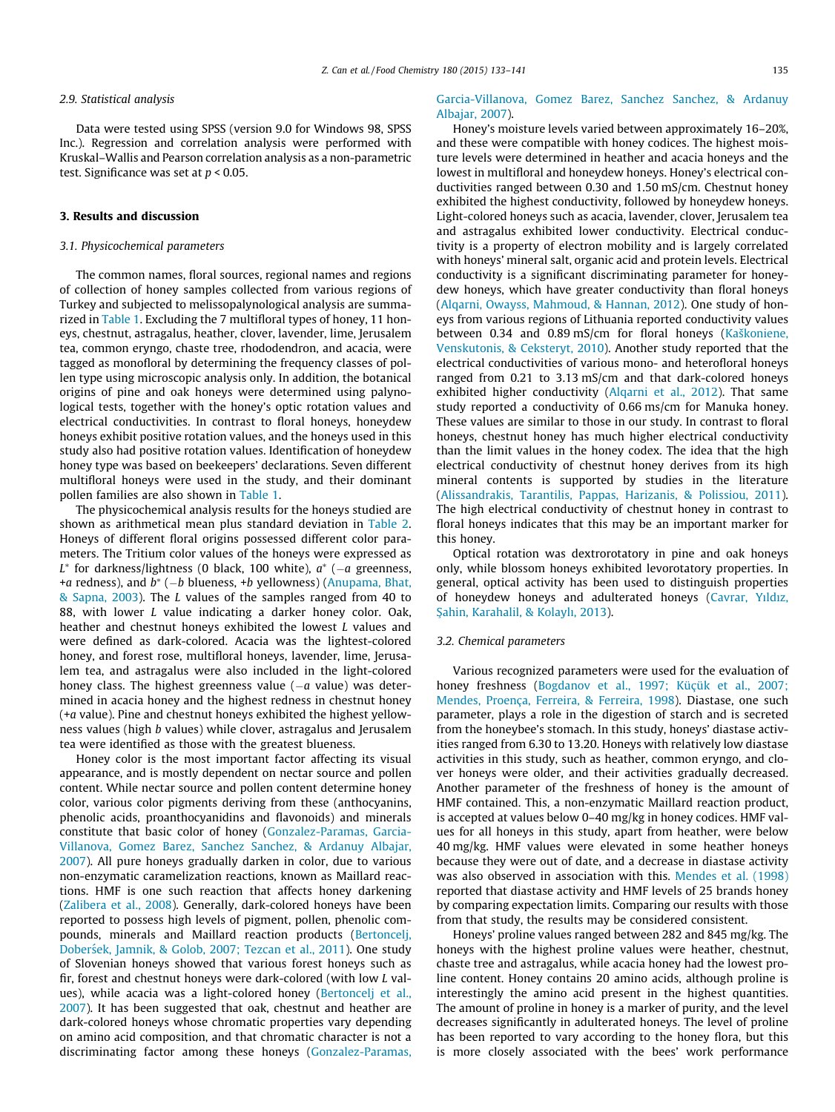#### 2.9. Statistical analysis

Data were tested using SPSS (version 9.0 for Windows 98, SPSS Inc.). Regression and correlation analysis were performed with Kruskal–Wallis and Pearson correlation analysis as a non-parametric test. Significance was set at  $p < 0.05$ .

# 3. Results and discussion

# 3.1. Physicochemical parameters

The common names, floral sources, regional names and regions of collection of honey samples collected from various regions of Turkey and subjected to melissopalynological analysis are summarized in [Table 1.](#page-3-0) Excluding the 7 multifloral types of honey, 11 honeys, chestnut, astragalus, heather, clover, lavender, lime, Jerusalem tea, common eryngo, chaste tree, rhododendron, and acacia, were tagged as monofloral by determining the frequency classes of pollen type using microscopic analysis only. In addition, the botanical origins of pine and oak honeys were determined using palynological tests, together with the honey's optic rotation values and electrical conductivities. In contrast to floral honeys, honeydew honeys exhibit positive rotation values, and the honeys used in this study also had positive rotation values. Identification of honeydew honey type was based on beekeepers' declarations. Seven different multifloral honeys were used in the study, and their dominant pollen families are also shown in [Table 1.](#page-3-0)

The physicochemical analysis results for the honeys studied are shown as arithmetical mean plus standard deviation in [Table 2.](#page-4-0) Honeys of different floral origins possessed different color parameters. The Tritium color values of the honeys were expressed as  $L^*$  for darkness/lightness (0 black, 100 white),  $a^*$  ( $-a$  greenness, +a redness), and  $b^*$  ( $-b$  blueness, +b yellowness) ([Anupama, Bhat,](#page-8-0) [& Sapna, 2003\)](#page-8-0). The L values of the samples ranged from 40 to 88, with lower L value indicating a darker honey color. Oak, heather and chestnut honeys exhibited the lowest L values and were defined as dark-colored. Acacia was the lightest-colored honey, and forest rose, multifloral honeys, lavender, lime, Jerusalem tea, and astragalus were also included in the light-colored honey class. The highest greenness value  $(-a$  value) was determined in acacia honey and the highest redness in chestnut honey (+a value). Pine and chestnut honeys exhibited the highest yellowness values (high b values) while clover, astragalus and Jerusalem tea were identified as those with the greatest blueness.

Honey color is the most important factor affecting its visual appearance, and is mostly dependent on nectar source and pollen content. While nectar source and pollen content determine honey color, various color pigments deriving from these (anthocyanins, phenolic acids, proanthocyanidins and flavonoids) and minerals constitute that basic color of honey ([Gonzalez-Paramas, Garcia-](#page-8-0)[Villanova, Gomez Barez, Sanchez Sanchez, & Ardanuy Albajar,](#page-8-0) [2007](#page-8-0)). All pure honeys gradually darken in color, due to various non-enzymatic caramelization reactions, known as Maillard reactions. HMF is one such reaction that affects honey darkening ([Zalibera et al., 2008\)](#page-8-0). Generally, dark-colored honeys have been reported to possess high levels of pigment, pollen, phenolic compounds, minerals and Maillard reaction products [\(Bertoncelj,](#page-8-0) Doberśek, Jamnik, & Golob, 2007; Tezcan et al., 2011). One study of Slovenian honeys showed that various forest honeys such as fir, forest and chestnut honeys were dark-colored (with low L values), while acacia was a light-colored honey ([Bertoncelj et al.,](#page-8-0) [2007](#page-8-0)). It has been suggested that oak, chestnut and heather are dark-colored honeys whose chromatic properties vary depending on amino acid composition, and that chromatic character is not a discriminating factor among these honeys [\(Gonzalez-Paramas,](#page-8-0)

# [Garcia-Villanova, Gomez Barez, Sanchez Sanchez, & Ardanuy](#page-8-0) [Albajar, 2007\)](#page-8-0).

Honey's moisture levels varied between approximately 16–20%, and these were compatible with honey codices. The highest moisture levels were determined in heather and acacia honeys and the lowest in multifloral and honeydew honeys. Honey's electrical conductivities ranged between 0.30 and 1.50 mS/cm. Chestnut honey exhibited the highest conductivity, followed by honeydew honeys. Light-colored honeys such as acacia, lavender, clover, Jerusalem tea and astragalus exhibited lower conductivity. Electrical conductivity is a property of electron mobility and is largely correlated with honeys' mineral salt, organic acid and protein levels. Electrical conductivity is a significant discriminating parameter for honeydew honeys, which have greater conductivity than floral honeys ([Alqarni, Owayss, Mahmoud, & Hannan, 2012](#page-8-0)). One study of honeys from various regions of Lithuania reported conductivity values between 0.34 and 0.89 mS/cm for floral honeys ([Kaškoniene,](#page-8-0) [Venskutonis, & Ceksteryt, 2010\)](#page-8-0). Another study reported that the electrical conductivities of various mono- and heterofloral honeys ranged from 0.21 to 3.13 mS/cm and that dark-colored honeys exhibited higher conductivity ([Alqarni et al., 2012](#page-8-0)). That same study reported a conductivity of 0.66 ms/cm for Manuka honey. These values are similar to those in our study. In contrast to floral honeys, chestnut honey has much higher electrical conductivity than the limit values in the honey codex. The idea that the high electrical conductivity of chestnut honey derives from its high mineral contents is supported by studies in the literature ([Alissandrakis, Tarantilis, Pappas, Harizanis, & Polissiou, 2011\)](#page-8-0). The high electrical conductivity of chestnut honey in contrast to floral honeys indicates that this may be an important marker for this honey.

Optical rotation was dextrorotatory in pine and oak honeys only, while blossom honeys exhibited levorotatory properties. In general, optical activity has been used to distinguish properties of honeydew honeys and adulterated honeys [\(Cavrar, Y](#page-8-0)ı[ld](#page-8-0)ı[z,](#page-8-0) S-[ahin, Karahalil, & Kolaylı, 2013\)](#page-8-0).

# 3.2. Chemical parameters

Various recognized parameters were used for the evaluation of honey freshness [\(Bogdanov et al., 1997; Küçük et al., 2007;](#page-8-0) [Mendes, Proença, Ferreira, & Ferreira, 1998](#page-8-0)). Diastase, one such parameter, plays a role in the digestion of starch and is secreted from the honeybee's stomach. In this study, honeys' diastase activities ranged from 6.30 to 13.20. Honeys with relatively low diastase activities in this study, such as heather, common eryngo, and clover honeys were older, and their activities gradually decreased. Another parameter of the freshness of honey is the amount of HMF contained. This, a non-enzymatic Maillard reaction product, is accepted at values below 0–40 mg/kg in honey codices. HMF values for all honeys in this study, apart from heather, were below 40 mg/kg. HMF values were elevated in some heather honeys because they were out of date, and a decrease in diastase activity was also observed in association with this. [Mendes et al. \(1998\)](#page-8-0) reported that diastase activity and HMF levels of 25 brands honey by comparing expectation limits. Comparing our results with those from that study, the results may be considered consistent.

Honeys' proline values ranged between 282 and 845 mg/kg. The honeys with the highest proline values were heather, chestnut, chaste tree and astragalus, while acacia honey had the lowest proline content. Honey contains 20 amino acids, although proline is interestingly the amino acid present in the highest quantities. The amount of proline in honey is a marker of purity, and the level decreases significantly in adulterated honeys. The level of proline has been reported to vary according to the honey flora, but this is more closely associated with the bees' work performance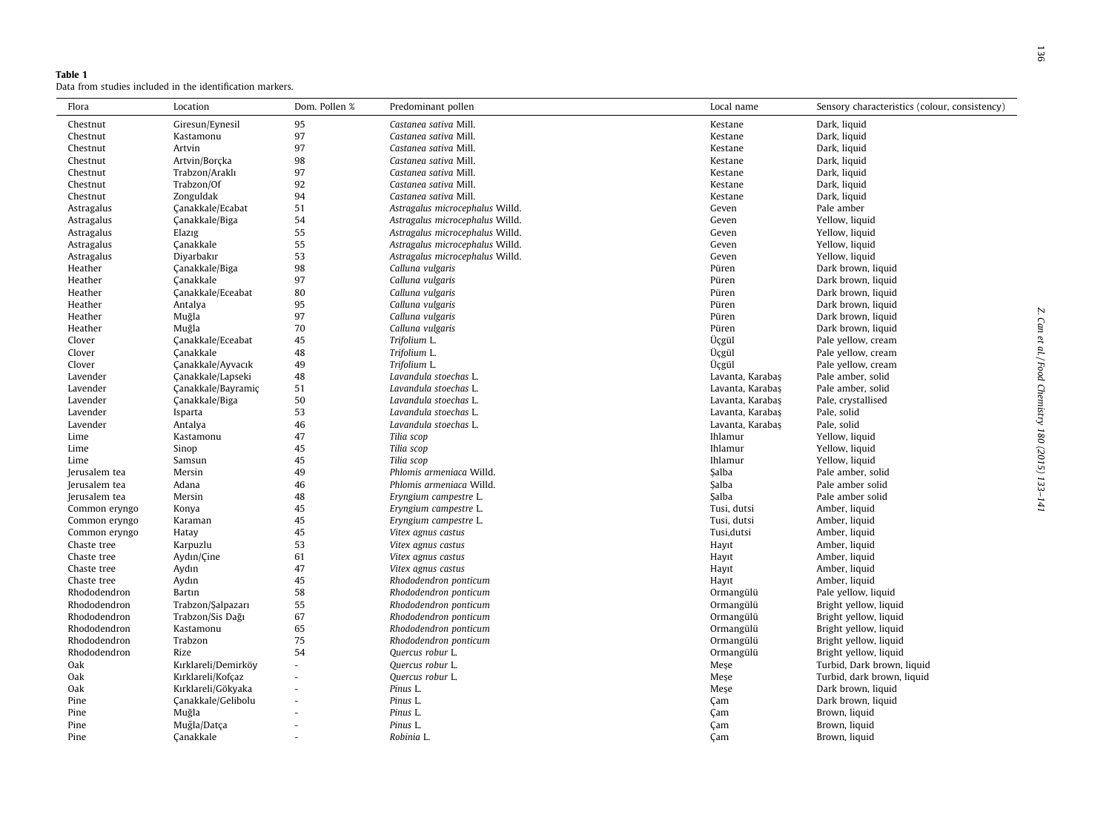<span id="page-3-0"></span>

| Table 1 |  |  |                                                           |  |
|---------|--|--|-----------------------------------------------------------|--|
|         |  |  | Data from studies included in the identification markers. |  |

| Flora                        | Location               | Dom. Pollen %  | Predominant pollen                       | Local name       | Sensory characteristics (colour, consistency) |
|------------------------------|------------------------|----------------|------------------------------------------|------------------|-----------------------------------------------|
| Chestnut                     | Giresun/Eynesil        | 95             | Castanea sativa Mill.                    | Kestane          | Dark, liquid                                  |
| Chestnut                     | Kastamonu              | 97             | Castanea sativa Mill.                    | Kestane          | Dark, liquid                                  |
| Chestnut                     | Artvin                 | 97             | Castanea sativa Mill.                    | Kestane          | Dark, liquid                                  |
| Chestnut                     | Artvin/Borçka          | 98             | Castanea sativa Mill.                    | Kestane          | Dark, liquid                                  |
| Chestnut                     | Trabzon/Araklı         | 97             | Castanea sativa Mill.                    | Kestane          | Dark, liquid                                  |
| Chestnut                     | Trabzon/Of             | 92             | Castanea sativa Mill.                    | Kestane          | Dark, liquid                                  |
| Chestnut                     | Zonguldak              | 94             | Castanea sativa Mill.                    | Kestane          | Dark, liquid                                  |
| Astragalus                   | Canakkale/Ecabat       | 51             | Astragalus microcephalus Willd.          | Geven            | Pale amber                                    |
| Astragalus                   | Çanakkale/Biga         | 54             | Astragalus microcephalus Willd.          | Geven            | Yellow, liquid                                |
| Astragalus                   | Elazig                 | 55             | Astragalus microcephalus Willd.          | Geven            | Yellow, liquid                                |
| Astragalus                   | Çanakkale              | 55             | Astragalus microcephalus Willd.          | Geven            | Yellow, liquid                                |
| Astragalus                   | Diyarbakır             | 53             | Astragalus microcephalus Willd.          | Geven            | Yellow, liquid                                |
| Heather                      | Çanakkale/Biga         | 98             | Calluna vulgaris                         | Püren            | Dark brown, liquid                            |
| Heather                      | Canakkale              | 97             | Calluna vulgaris                         | Püren            | Dark brown, liquid                            |
| Heather                      | Canakkale/Eceabat      | 80             | Calluna vulgaris                         | Püren            | Dark brown, liquid                            |
| Heather                      | Antalya                | 95             | Calluna vulgaris                         | Püren            | Dark brown, liquid                            |
| Heather                      | Muğla                  | 97             | Calluna vulgaris                         | Püren            | Dark brown, liquid                            |
| Heather                      | Muğla                  | 70             | Calluna vulgaris                         | Püren            | Dark brown, liquid                            |
| Clover                       | Çanakkale/Eceabat      | 45             | Trifolium L.                             | Üçgül            | Pale yellow, cream                            |
| Clover                       | Çanakkale              | 48             | Trifolium L.                             | Üçgül            | Pale yellow, cream                            |
| Clover                       | Çanakkale/Ayvacık      | 49             | Trifolium L.                             | Üçgül            | Pale yellow, cream                            |
| Lavender                     | Çanakkale/Lapseki      | 48             | Lavandula stoechas L.                    | Lavanta, Karabaş | Pale amber, solid                             |
| Lavender                     | Canakkale/Bayramic     | 51             | Lavandula stoechas L.                    | Lavanta, Karabaş | Pale amber, solid                             |
| Lavender                     | Çanakkale/Biga         | 50             | Lavandula stoechas L.                    | Lavanta, Karabaş | Pale, crystallised                            |
| Lavender                     | Isparta                | 53             | Lavandula stoechas L.                    | Lavanta, Karabaş | Pale, solid                                   |
| Lavender                     | Antalya                | 46             | Lavandula stoechas L.                    | Lavanta, Karabaş | Pale, solid                                   |
| Lime                         | Kastamonu              | 47             | Tilia scop                               | Ihlamur          | Yellow, liquid                                |
|                              |                        | 45             | Tilia scop                               | Ihlamur          | Yellow, liquid                                |
| Lime<br>Lime                 | Sinop<br>Samsun        | 45             | Tilia scop                               | Ihlamur          | Yellow, liquid                                |
| Jerusalem tea                | Mersin                 | 49             | Phlomis armeniaca Willd.                 | <b>Salba</b>     | Pale amber, solid                             |
| Jerusalem tea                | Adana                  | 46             | Phlomis armeniaca Willd.                 | Salba            | Pale amber solid                              |
|                              |                        | 48             | Eryngium campestre L.                    | <b>Salba</b>     | Pale amber solid                              |
| Jerusalem tea                | Mersin                 | 45             | Eryngium campestre L.                    | Tusi, dutsi      | Amber, liquid                                 |
| Common eryngo                | Konya                  | 45             |                                          | Tusi, dutsi      |                                               |
| Common eryngo                | Karaman                |                | Eryngium campestre L.                    |                  | Amber, liquid                                 |
| Common eryngo<br>Chaste tree | Hatay                  | 45<br>53       | Vitex agnus castus                       | Tusi, dutsi      | Amber, liquid<br>Amber, liquid                |
| Chaste tree                  | Karpuzlu<br>Aydın/Cine | 61             | Vitex agnus castus                       | Hayıt            |                                               |
| Chaste tree                  | Aydın                  | 47             | Vitex agnus castus<br>Vitex agnus castus | Hayıt<br>Hayıt   | Amber, liquid<br>Amber, liquid                |
|                              |                        | 45             |                                          |                  | Amber, liquid                                 |
| Chaste tree                  | Aydın                  |                | Rhododendron ponticum                    | Hayıt            |                                               |
| Rhododendron                 | Bartın                 | 58             | Rhododendron ponticum                    | Ormangülü        | Pale yellow, liquid                           |
| Rhododendron                 | Trabzon/Şalpazarı      | 55             | Rhododendron ponticum                    | Ormangülü        | Bright yellow, liquid                         |
| Rhododendron                 | Trabzon/Sis Dağı       | 67             | Rhododendron ponticum                    | Ormangülü        | Bright yellow, liquid                         |
| Rhododendron                 | Kastamonu              | 65             | Rhododendron ponticum                    | Ormangülü        | Bright yellow, liquid                         |
| Rhododendron                 | Trabzon                | 75             | Rhododendron ponticum                    | Ormangülü        | Bright yellow, liquid                         |
| Rhododendron                 | Rize                   | 54             | Quercus robur L.                         | Ormangülü        | Bright yellow, liquid                         |
| Oak                          | Kırklareli/Demirköy    | $\overline{a}$ | Quercus robur L.                         | Meşe             | Turbid, Dark brown, liquid                    |
| Oak                          | Kırklareli/Kofçaz      |                | Quercus robur L.                         | Mese             | Turbid, dark brown, liquid                    |
| Oak                          | Kırklareli/Gökyaka     |                | Pinus L.                                 | Mese             | Dark brown, liquid                            |
| Pine                         | Çanakkale/Gelibolu     |                | Pinus L.                                 | Çam              | Dark brown, liquid                            |
| Pine                         | Muğla                  |                | Pinus L.                                 | Çam              | Brown, liquid                                 |
| Pine                         | Muğla/Datça            |                | Pinus L.                                 | Çam              | Brown, liquid                                 |
| Pine                         | Canakkale              |                | Robinia L.                               | Cam              | Brown, liquid                                 |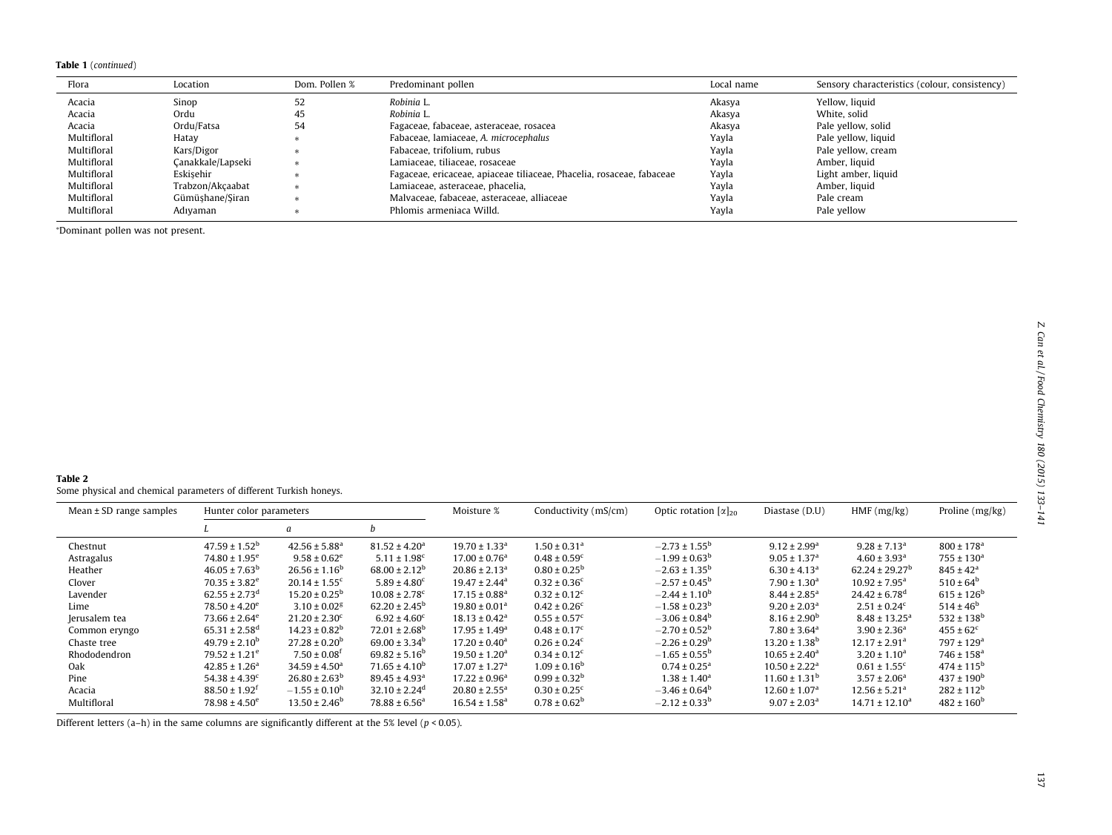#### <span id="page-4-0"></span>Table 1 (continued)

| Flora       | Location          | Dom. Pollen % | Predominant pollen                                                    | Local name | Sensory characteristics (colour, consistency) |
|-------------|-------------------|---------------|-----------------------------------------------------------------------|------------|-----------------------------------------------|
| Acacia      | Sinop             | 52            | Robinia L.                                                            | Akasya     | Yellow, liquid                                |
| Acacia      | Ordu              | 45            | Robinia L.                                                            | Akasya     | White, solid                                  |
| Acacia      | Ordu/Fatsa        | 54            | Fagaceae, fabaceae, asteraceae, rosacea                               | Akasya     | Pale yellow, solid                            |
| Multifloral | Hatay             |               | Fabaceae, lamiaceae, A. microcephalus                                 | Yayla      | Pale yellow, liquid                           |
| Multifloral | Kars/Digor        |               | Fabaceae, trifolium, rubus                                            | Yayla      | Pale yellow, cream                            |
| Multifloral | Canakkale/Lapseki |               | Lamiaceae, tiliaceae, rosaceae                                        | Yayla      | Amber, liquid                                 |
| Multifloral | Eskisehir         |               | Fagaceae, ericaceae, apiaceae tiliaceae, Phacelia, rosaceae, fabaceae | Yayla      | Light amber, liquid                           |
| Multifloral | Trabzon/Akçaabat  |               | Lamiaceae, asteraceae, phacelia,                                      | Yayla      | Amber, liquid                                 |
| Multifloral | Gümüşhane/Şiran   |               | Malvaceae, fabaceae, asteraceae, alliaceae                            | Yayla      | Pale cream                                    |
| Multifloral | Adıvaman          |               | Phlomis armeniaca Willd.                                              | Yayla      | Pale yellow                                   |

<sup>⁄</sup>Dominant pollen was not present.

Some physical and chemical parameters of different Turkish honeys.

| Mean $\pm$ SD range samples | Hunter color parameters       |                               |                               | Moisture %                    | Conductivity (mS/cm)         | Optic rotation $\alpha _{20}$ | Diastase (D.U)                | HMF(mg/kg)                    | Proline (mg/kg)            |
|-----------------------------|-------------------------------|-------------------------------|-------------------------------|-------------------------------|------------------------------|-------------------------------|-------------------------------|-------------------------------|----------------------------|
|                             |                               | $\boldsymbol{a}$              | D                             |                               |                              |                               |                               |                               |                            |
| Chestnut                    | $47.59 \pm 1.52^{\mathrm{b}}$ | $42.56 \pm 5.88^{\circ}$      | $81.52 \pm 4.20^a$            | $19.70 \pm 1.33$ <sup>a</sup> | $1.50 \pm 0.31$ <sup>a</sup> | $-2.73 \pm 1.55^{\circ}$      | $9.12 \pm 2.99^a$             | $9.28 \pm 7.13^a$             | $800 \pm 178$ <sup>a</sup> |
| Astragalus                  | $74.80 \pm 1.95^e$            | $9.58 \pm 0.62^e$             | $5.11 \pm 1.98$ <sup>c</sup>  | $17.00 \pm 0.76^a$            | $0.48 \pm 0.59$ <sup>c</sup> | $-1.99 \pm 0.63^{\rm b}$      | $9.05 \pm 1.37$ <sup>a</sup>  | $4.60 \pm 3.93$ <sup>a</sup>  | $755 \pm 130^a$            |
| Heather                     | $46.05 \pm 7.63^b$            | $26.56 \pm 1.16^b$            | $68.00 \pm 2.12^b$            | $20.86 \pm 2.13$ <sup>a</sup> | $0.80 \pm 0.25^{\rm b}$      | $-2.63 \pm 1.35^b$            | $6.30 \pm 4.13$ <sup>a</sup>  | $62.24 \pm 29.27^b$           | $845 \pm 42^{\rm a}$       |
| Clover                      | $70.35 \pm 3.82^e$            | $20.14 \pm 1.55$ <sup>c</sup> | $5.89 \pm 4.80$ <sup>c</sup>  | $19.47 \pm 2.44$ <sup>a</sup> | $0.32 \pm 0.36$ <sup>c</sup> | $-2.57 \pm 0.45^{\circ}$      | $7.90 \pm 1.30$ <sup>a</sup>  | $10.92 \pm 7.95^a$            | $510 \pm 64^{\rm b}$       |
| Lavender                    | $62.55 \pm 2.73$ <sup>d</sup> | $15.20 \pm 0.25^{\circ}$      | $10.08 \pm 2.78$ <sup>c</sup> | $17.15 \pm 0.88$ <sup>a</sup> | $0.32 \pm 0.12$ <sup>c</sup> | $-2.44 \pm 1.10^b$            | $8.44 \pm 2.85$ <sup>a</sup>  | $24.42 \pm 6.78$ <sup>d</sup> | $615 \pm 126^{\rm b}$      |
| Lime                        | $78.50 \pm 4.20^e$            | $3.10 \pm 0.02$ <sup>g</sup>  | $62.20 \pm 2.45^{\rm b}$      | $19.80 \pm 0.01$ <sup>a</sup> | $0.42 \pm 0.26$ <sup>c</sup> | $-1.58 \pm 0.23^{\rm b}$      | $9.20 \pm 2.03$ <sup>a</sup>  | $2.51 \pm 0.24^c$             | $514 \pm 46^{\rm b}$       |
| Jerusalem tea               | $73.66 \pm 2.64^e$            | $21.20 \pm 2.30^{\circ}$      | $6.92 \pm 4.60^{\circ}$       | $18.13 \pm 0.42^a$            | $0.55 \pm 0.57$ <sup>c</sup> | $-3.06 \pm 0.84^b$            | $8.16 \pm 2.90^{\rm b}$       | $8.48 \pm 13.25^{\text{a}}$   | $532 \pm 138^{\rm b}$      |
| Common eryngo               | $65.31 \pm 2.58$ <sup>d</sup> | $14.23 \pm 0.82^b$            | $72.01 \pm 2.68^{\rm b}$      | $17.95 \pm 1.49^a$            | $0.48 \pm 0.17$ <sup>c</sup> | $-2.70 \pm 0.52^{\rm b}$      | $7.80 \pm 3.64$ <sup>a</sup>  | $3.90 \pm 2.36^a$             | $455 \pm 62^{\circ}$       |
| Chaste tree                 | $49.79 \pm 2.10^b$            | $27.28 \pm 0.20^b$            | $69.00 \pm 3.34^b$            | $17.20 \pm 0.40^a$            | $0.26 \pm 0.24^c$            | $-2.26 \pm 0.29^b$            | $13.20 \pm 1.38^b$            | $12.17 \pm 2.91$ <sup>a</sup> | $797 \pm 129$ <sup>a</sup> |
| Rhododendron                | $79.52 \pm 1.21^e$            | $7.50 \pm 0.08$ <sup>f</sup>  | $69.82 \pm 5.16^b$            | $19.50 \pm 1.20^a$            | $0.34 \pm 0.12^c$            | $-1.65 \pm 0.55^{\circ}$      | $10.65 \pm 2.40^a$            | $3.20 \pm 1.10^a$             | $746 \pm 158$ <sup>a</sup> |
| Oak                         | $42.85 \pm 1.26^a$            | $34.59 \pm 4.50^a$            | $71.65 \pm 4.10^b$            | $17.07 \pm 1.27$ <sup>a</sup> | $1.09 \pm 0.16^{\rm b}$      | $0.74 \pm 0.25$ <sup>a</sup>  | $10.50 \pm 2.22$ <sup>a</sup> | $0.61 \pm 1.55$ <sup>c</sup>  | $474 \pm 115^{\rm b}$      |
| Pine                        | $54.38 \pm 4.39$ <sup>c</sup> | $26.80 \pm 2.63^b$            | $89.45 \pm 4.93$ <sup>a</sup> | $17.22 \pm 0.96^a$            | $0.99 \pm 0.32^{\rm b}$      | $1.38 \pm 1.40^a$             | $11.60 \pm 1.31^{\rm b}$      | $3.57 \pm 2.06^a$             | $437 \pm 190^{\rm b}$      |
| Acacia                      | $88.50 \pm 1.92$ <sup>f</sup> | $-1.55 \pm 0.10^{\rm h}$      | $32.10 \pm 2.24$ <sup>d</sup> | $20.80 \pm 2.55$ <sup>a</sup> | $0.30 \pm 0.25$ <sup>c</sup> | $-3.46 \pm 0.64^{\rm b}$      | $12.60 \pm 1.07$ <sup>a</sup> | $12.56 \pm 5.21$ <sup>a</sup> | $282 \pm 112^b$            |
| Multifloral                 | $78.98 \pm 4.50^e$            | $13.50 \pm 2.46^b$            | $78.88 \pm 6.56^a$            | $16.54 \pm 1.58$ <sup>a</sup> | $0.78 \pm 0.62^b$            | $-2.12 \pm 0.33^b$            | $9.07 \pm 2.03$ <sup>a</sup>  | $14.71 \pm 12.10^a$           | $482 \pm 160^{\rm b}$      |

Different letters (a–h) in the same columns are significantly different at the 5% level ( $p < 0.05$ ).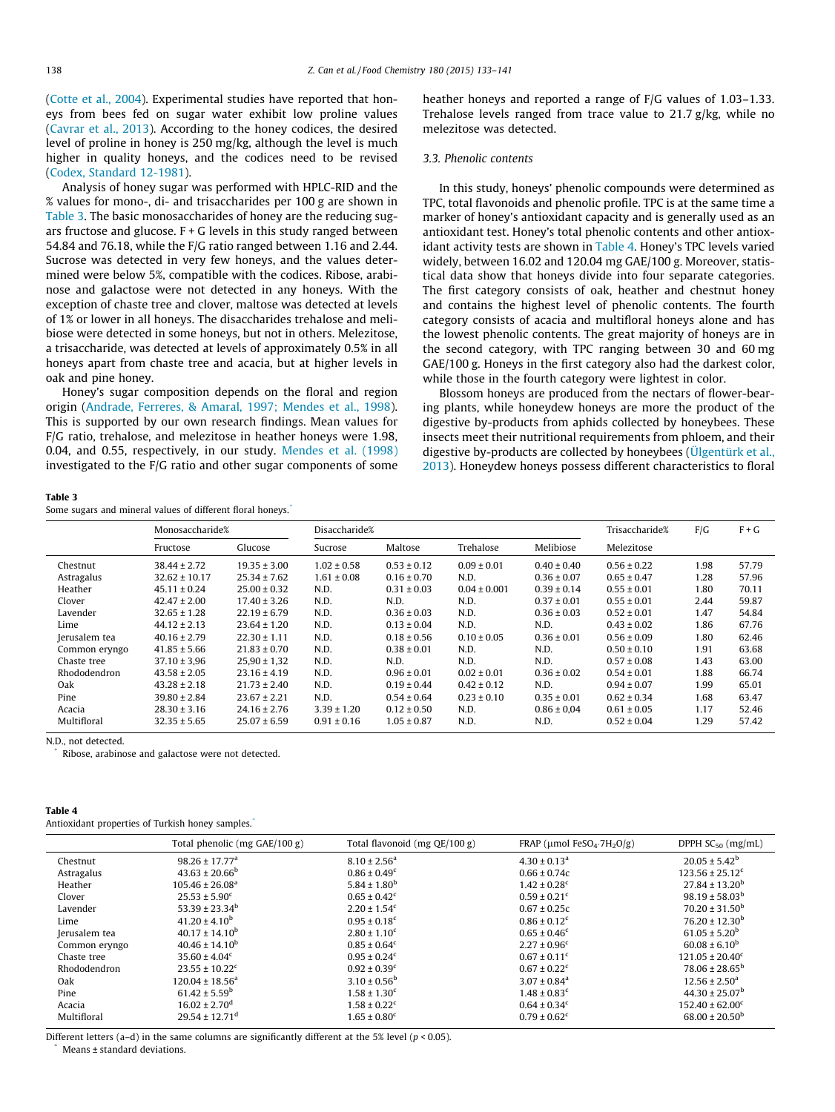<span id="page-5-0"></span>([Cotte et al., 2004\)](#page-8-0). Experimental studies have reported that honeys from bees fed on sugar water exhibit low proline values ([Cavrar et al., 2013\)](#page-8-0). According to the honey codices, the desired level of proline in honey is 250 mg/kg, although the level is much higher in quality honeys, and the codices need to be revised ([Codex, Standard 12-1981\)](#page-8-0).

Analysis of honey sugar was performed with HPLC-RID and the % values for mono-, di- and trisaccharides per 100 g are shown in Table 3. The basic monosaccharides of honey are the reducing sugars fructose and glucose.  $F + G$  levels in this study ranged between 54.84 and 76.18, while the F/G ratio ranged between 1.16 and 2.44. Sucrose was detected in very few honeys, and the values determined were below 5%, compatible with the codices. Ribose, arabinose and galactose were not detected in any honeys. With the exception of chaste tree and clover, maltose was detected at levels of 1% or lower in all honeys. The disaccharides trehalose and melibiose were detected in some honeys, but not in others. Melezitose, a trisaccharide, was detected at levels of approximately 0.5% in all honeys apart from chaste tree and acacia, but at higher levels in oak and pine honey.

Honey's sugar composition depends on the floral and region origin [\(Andrade, Ferreres, & Amaral, 1997; Mendes et al., 1998\)](#page-8-0). This is supported by our own research findings. Mean values for F/G ratio, trehalose, and melezitose in heather honeys were 1.98, 0.04, and 0.55, respectively, in our study. [Mendes et al. \(1998\)](#page-8-0) investigated to the F/G ratio and other sugar components of some heather honeys and reported a range of F/G values of 1.03–1.33. Trehalose levels ranged from trace value to 21.7 g/kg, while no melezitose was detected.

# 3.3. Phenolic contents

In this study, honeys' phenolic compounds were determined as TPC, total flavonoids and phenolic profile. TPC is at the same time a marker of honey's antioxidant capacity and is generally used as an antioxidant test. Honey's total phenolic contents and other antioxidant activity tests are shown in Table 4. Honey's TPC levels varied widely, between 16.02 and 120.04 mg GAE/100 g. Moreover, statistical data show that honeys divide into four separate categories. The first category consists of oak, heather and chestnut honey and contains the highest level of phenolic contents. The fourth category consists of acacia and multifloral honeys alone and has the lowest phenolic contents. The great majority of honeys are in the second category, with TPC ranging between 30 and 60 mg GAE/100 g. Honeys in the first category also had the darkest color, while those in the fourth category were lightest in color.

Blossom honeys are produced from the nectars of flower-bearing plants, while honeydew honeys are more the product of the digestive by-products from aphids collected by honeybees. These insects meet their nutritional requirements from phloem, and their digestive by-products are collected by honeybees ([Ülgentürk et al.,](#page-8-0) [2013\)](#page-8-0). Honeydew honeys possess different characteristics to floral

#### Table 3

Some sugars and mineral values of different floral honeys.<sup>\*</sup>

|               | Monosaccharide%   |                  | Disaccharide%   |                 |                  |                 | Trisaccharide%  | F/G  | $F + G$ |
|---------------|-------------------|------------------|-----------------|-----------------|------------------|-----------------|-----------------|------|---------|
|               | Fructose          | Glucose          | Sucrose         | Maltose         | Trehalose        | Melibiose       | Melezitose      |      |         |
| Chestnut      | $38.44 \pm 2.72$  | $19.35 \pm 3.00$ | $1.02 \pm 0.58$ | $0.53 \pm 0.12$ | $0.09 \pm 0.01$  | $0.40 \pm 0.40$ | $0.56 \pm 0.22$ | 1.98 | 57.79   |
| Astragalus    | $32.62 \pm 10.17$ | $25.34 \pm 7.62$ | $1.61 \pm 0.08$ | $0.16 \pm 0.70$ | N.D.             | $0.36 \pm 0.07$ | $0.65 \pm 0.47$ | 1.28 | 57.96   |
| Heather       | $45.11 \pm 0.24$  | $25.00 \pm 0.32$ | N.D.            | $0.31 \pm 0.03$ | $0.04 \pm 0.001$ | $0.39 \pm 0.14$ | $0.55 \pm 0.01$ | 1.80 | 70.11   |
| Clover        | $42.47 \pm 2.00$  | $17.40 \pm 3.26$ | N.D.            | N.D.            | N.D.             | $0.37 \pm 0.01$ | $0.55 \pm 0.01$ | 2.44 | 59.87   |
| Lavender      | $32.65 \pm 1.28$  | $22.19 \pm 6.79$ | N.D.            | $0.36 \pm 0.03$ | N.D.             | $0.36 \pm 0.03$ | $0.52 \pm 0.01$ | 1.47 | 54.84   |
| Lime          | $44.12 \pm 2.13$  | $23.64 \pm 1.20$ | N.D.            | $0.13 \pm 0.04$ | N.D.             | N.D.            | $0.43 \pm 0.02$ | 1.86 | 67.76   |
| Jerusalem tea | $40.16 \pm 2.79$  | $22.30 \pm 1.11$ | N.D.            | $0.18 \pm 0.56$ | $0.10 \pm 0.05$  | $0.36 \pm 0.01$ | $0.56 \pm 0.09$ | 1.80 | 62.46   |
| Common eryngo | $41.85 \pm 5.66$  | $21.83 \pm 0.70$ | N.D.            | $0.38 \pm 0.01$ | N.D.             | N.D.            | $0.50 \pm 0.10$ | 1.91 | 63.68   |
| Chaste tree   | $37.10 \pm 3.96$  | $25,90 \pm 1,32$ | N.D.            | N.D.            | N.D.             | N.D.            | $0.57 \pm 0.08$ | 1.43 | 63.00   |
| Rhododendron  | $43.58 \pm 2.05$  | $23.16 \pm 4.19$ | N.D.            | $0.96 \pm 0.01$ | $0.02 \pm 0.01$  | $0.36 \pm 0.02$ | $0.54 \pm 0.01$ | 1.88 | 66.74   |
| Oak           | $43.28 \pm 2.18$  | $21.73 \pm 2.40$ | N.D.            | $0.19 \pm 0.44$ | $0.42 \pm 0.12$  | N.D.            | $0.94 \pm 0.07$ | 1.99 | 65.01   |
| Pine          | $39.80 \pm 2.84$  | $23.67 \pm 2.21$ | N.D.            | $0.54 \pm 0.64$ | $0.23 \pm 0.10$  | $0.35 \pm 0.01$ | $0.62 \pm 0.34$ | 1.68 | 63.47   |
| Acacia        | $28.30 \pm 3.16$  | $24.16 \pm 2.76$ | $3.39 \pm 1.20$ | $0.12 \pm 0.50$ | N.D.             | $0.86 \pm 0.04$ | $0.61 \pm 0.05$ | 1.17 | 52.46   |
| Multifloral   | $32.35 \pm 5.65$  | $25.07 \pm 6.59$ | $0.91 \pm 0.16$ | $1.05 \pm 0.87$ | N.D.             | N.D.            | $0.52 \pm 0.04$ | 1.29 | 57.42   |

N.D., not detected.

Ribose, arabinose and galactose were not detected.

#### Table 4

Antioxidant properties of Turkish honey samples.<sup>\*</sup>

|               | Total phenolic (mg $GAE/100 g$ ) | Total flavonoid (mg $QE/100 g$ ) | FRAP ( $\mu$ mol FeSO <sub>4</sub> .7H <sub>2</sub> O/g) | DPPH $SC_{50}$ (mg/mL)         |
|---------------|----------------------------------|----------------------------------|----------------------------------------------------------|--------------------------------|
| Chestnut      | $98.26 \pm 17.77$ <sup>a</sup>   | $8.10 \pm 2.56^a$                | $4.30 \pm 0.13$ <sup>a</sup>                             | $20.05 \pm 5.42^b$             |
| Astragalus    | $43.63 \pm 20.66^{\circ}$        | $0.86 \pm 0.49^c$                | $0.66 \pm 0.74c$                                         | $123.56 \pm 25.12^c$           |
| Heather       | $105.46 \pm 26.08^a$             | $5.84 \pm 1.80^b$                | $1.42 \pm 0.28$ <sup>c</sup>                             | $27.84 \pm 13.20^{\mathrm{b}}$ |
| Clover        | $25.53 \pm 5.90^{\circ}$         | $0.65 \pm 0.42^c$                | $0.59 \pm 0.21$ <sup>c</sup>                             | $98.19 \pm 58.03^{\rm b}$      |
| Lavender      | $53.39 \pm 23.34^b$              | $2.20 \pm 1.54$ <sup>c</sup>     | $0.67 \pm 0.25c$                                         | $70.20 \pm 31.50^{\rm b}$      |
| Lime          | $41.20 \pm 4.10^b$               | $0.95 \pm 0.18$ <sup>c</sup>     | $0.86 \pm 0.12$ <sup>c</sup>                             | $76.20 \pm 12.30^{\rm b}$      |
| Jerusalem tea | $40.17 \pm 14.10^b$              | $2.80 \pm 1.10^c$                | $0.65 \pm 0.46^c$                                        | $61.05 \pm 5.20^b$             |
| Common eryngo | $40.46 \pm 14.10^b$              | $0.85 \pm 0.64^c$                | $2.27 \pm 0.96^{\circ}$                                  | $60.08 \pm 6.10^b$             |
| Chaste tree   | $35.60 \pm 4.04^c$               | $0.95 \pm 0.24^c$                | $0.67 \pm 0.11^{\circ}$                                  | $121.05 \pm 20.40^{\circ}$     |
| Rhododendron  | $23.55 \pm 10.22$ <sup>c</sup>   | $0.92 \pm 0.39$ <sup>c</sup>     | $0.67 \pm 0.22$ <sup>c</sup>                             | $78.06 \pm 28.65^{\rm b}$      |
| Oak           | $120.04 \pm 18.56^a$             | $3.10 \pm 0.56^{\rm b}$          | $3.07 \pm 0.84$ <sup>a</sup>                             | $12.56 \pm 2.50^a$             |
| Pine          | $61.42 \pm 5.59^{\rm b}$         | $1.58 \pm 1.30^c$                | $1.48 \pm 0.83$ <sup>c</sup>                             | $44.30 \pm 25.07^{\rm b}$      |
| Acacia        | $16.02 \pm 2.70$ <sup>d</sup>    | $1.58 \pm 0.22$ <sup>c</sup>     | $0.64 \pm 0.34^c$                                        | $152.40 \pm 62.00^{\circ}$     |
| Multifloral   | $29.54 \pm 12.71$ <sup>d</sup>   | $1.65 \pm 0.80^c$                | $0.79 \pm 0.62$ <sup>c</sup>                             | $68.00 \pm 20.50^{\circ}$      |

Different letters (a–d) in the same columns are significantly different at the 5% level ( $p < 0.05$ ).

Means ± standard deviations.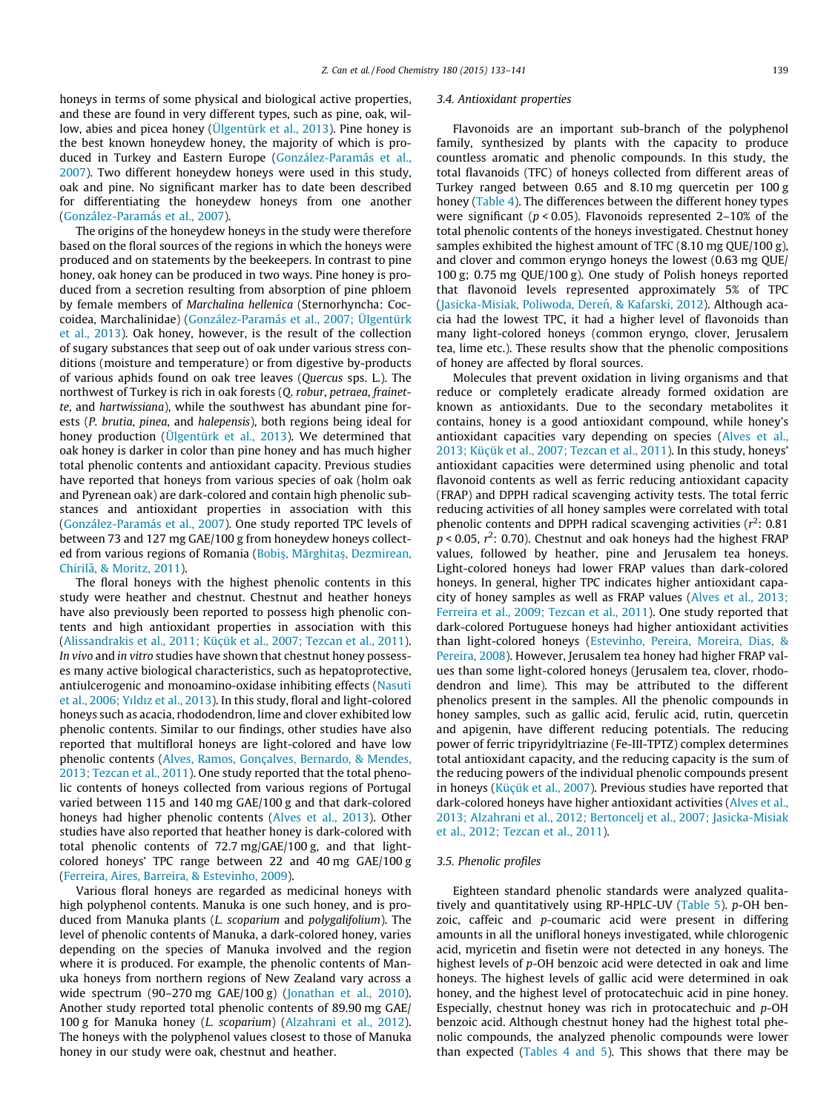honeys in terms of some physical and biological active properties, and these are found in very different types, such as pine, oak, willow, abies and picea honey ([Ülgentürk et al., 2013\)](#page-8-0). Pine honey is the best known honeydew honey, the majority of which is produced in Turkey and Eastern Europe [\(González-Paramás et al.,](#page-8-0) [2007](#page-8-0)). Two different honeydew honeys were used in this study, oak and pine. No significant marker has to date been described for differentiating the honeydew honeys from one another ([González-Paramás et al., 2007\)](#page-8-0).

The origins of the honeydew honeys in the study were therefore based on the floral sources of the regions in which the honeys were produced and on statements by the beekeepers. In contrast to pine honey, oak honey can be produced in two ways. Pine honey is produced from a secretion resulting from absorption of pine phloem by female members of Marchalina hellenica (Sternorhyncha: Coccoidea, Marchalinidae) ([González-Paramás et al., 2007; Ülgentürk](#page-8-0) [et al., 2013](#page-8-0)). Oak honey, however, is the result of the collection of sugary substances that seep out of oak under various stress conditions (moisture and temperature) or from digestive by-products of various aphids found on oak tree leaves (Quercus sps. L.). The northwest of Turkey is rich in oak forests (Q. robur, petraea, frainette, and hartwissiana), while the southwest has abundant pine forests (P. brutia, pinea, and halepensis), both regions being ideal for honey production [\(Ülgentürk et al., 2013\)](#page-8-0). We determined that oak honey is darker in color than pine honey and has much higher total phenolic contents and antioxidant capacity. Previous studies have reported that honeys from various species of oak (holm oak and Pyrenean oak) are dark-colored and contain high phenolic substances and antioxidant properties in association with this ([González-Paramás et al., 2007](#page-8-0)). One study reported TPC levels of between 73 and 127 mg GAE/100 g from honeydew honeys collect-ed from various regions of Romania [\(Bobi](#page-8-0)ş, Mărghitaş[, Dezmirean,](#page-8-0) Chirilă, & Moritz, 2011).

The floral honeys with the highest phenolic contents in this study were heather and chestnut. Chestnut and heather honeys have also previously been reported to possess high phenolic contents and high antioxidant properties in association with this ([Alissandrakis et al., 2011; Küçük et al., 2007; Tezcan et al., 2011\)](#page-8-0). In vivo and in vitro studies have shown that chestnut honey possesses many active biological characteristics, such as hepatoprotective, antiulcerogenic and monoamino-oxidase inhibiting effects [\(Nasuti](#page-8-0) [et al., 2006; Yıld](#page-8-0)ı[z et al., 2013](#page-8-0)). In this study, floral and light-colored honeys such as acacia, rhododendron, lime and clover exhibited low phenolic contents. Similar to our findings, other studies have also reported that multifloral honeys are light-colored and have low phenolic contents [\(Alves, Ramos, Gonçalves, Bernardo, & Mendes,](#page-8-0) [2013; Tezcan et al., 2011\)](#page-8-0). One study reported that the total phenolic contents of honeys collected from various regions of Portugal varied between 115 and 140 mg GAE/100 g and that dark-colored honeys had higher phenolic contents ([Alves et al., 2013](#page-8-0)). Other studies have also reported that heather honey is dark-colored with total phenolic contents of 72.7 mg/GAE/100 g, and that lightcolored honeys' TPC range between 22 and 40 mg GAE/100 g ([Ferreira, Aires, Barreira, & Estevinho, 2009](#page-8-0)).

Various floral honeys are regarded as medicinal honeys with high polyphenol contents. Manuka is one such honey, and is produced from Manuka plants (L. scoparium and polygalifolium). The level of phenolic contents of Manuka, a dark-colored honey, varies depending on the species of Manuka involved and the region where it is produced. For example, the phenolic contents of Manuka honeys from northern regions of New Zealand vary across a wide spectrum (90–270 mg GAE/100 g) [\(Jonathan et al., 2010\)](#page-8-0). Another study reported total phenolic contents of 89.90 mg GAE/ 100 g for Manuka honey (L. scoparium) ([Alzahrani et al., 2012\)](#page-8-0). The honeys with the polyphenol values closest to those of Manuka honey in our study were oak, chestnut and heather.

#### 3.4. Antioxidant properties

Flavonoids are an important sub-branch of the polyphenol family, synthesized by plants with the capacity to produce countless aromatic and phenolic compounds. In this study, the total flavanoids (TFC) of honeys collected from different areas of Turkey ranged between 0.65 and 8.10 mg quercetin per 100 g honey ([Table 4](#page-5-0)). The differences between the different honey types were significant ( $p < 0.05$ ). Flavonoids represented 2-10% of the total phenolic contents of the honeys investigated. Chestnut honey samples exhibited the highest amount of TFC (8.10 mg QUE/100 g), and clover and common eryngo honeys the lowest (0.63 mg QUE/ 100 g; 0.75 mg QUE/100 g). One study of Polish honeys reported that flavonoid levels represented approximately 5% of TPC (Jasicka-Misiak, Poliwoda, Dereń, & Kafarski, 2012). Although acacia had the lowest TPC, it had a higher level of flavonoids than many light-colored honeys (common eryngo, clover, Jerusalem tea, lime etc.). These results show that the phenolic compositions of honey are affected by floral sources.

Molecules that prevent oxidation in living organisms and that reduce or completely eradicate already formed oxidation are known as antioxidants. Due to the secondary metabolites it contains, honey is a good antioxidant compound, while honey's antioxidant capacities vary depending on species [\(Alves et al.,](#page-8-0) [2013; Küçük et al., 2007; Tezcan et al., 2011](#page-8-0)). In this study, honeys' antioxidant capacities were determined using phenolic and total flavonoid contents as well as ferric reducing antioxidant capacity (FRAP) and DPPH radical scavenging activity tests. The total ferric reducing activities of all honey samples were correlated with total phenolic contents and DPPH radical scavenging activities ( $r^2$ : 0.81  $p < 0.05$ ,  $r^2$ : 0.70). Chestnut and oak honeys had the highest FRAP values, followed by heather, pine and Jerusalem tea honeys. Light-colored honeys had lower FRAP values than dark-colored honeys. In general, higher TPC indicates higher antioxidant capacity of honey samples as well as FRAP values [\(Alves et al., 2013;](#page-8-0) [Ferreira et al., 2009; Tezcan et al., 2011\)](#page-8-0). One study reported that dark-colored Portuguese honeys had higher antioxidant activities than light-colored honeys [\(Estevinho, Pereira, Moreira, Dias, &](#page-8-0) [Pereira, 2008\)](#page-8-0). However, Jerusalem tea honey had higher FRAP values than some light-colored honeys (Jerusalem tea, clover, rhododendron and lime). This may be attributed to the different phenolics present in the samples. All the phenolic compounds in honey samples, such as gallic acid, ferulic acid, rutin, quercetin and apigenin, have different reducing potentials. The reducing power of ferric tripyridyltriazine (Fe-III-TPTZ) complex determines total antioxidant capacity, and the reducing capacity is the sum of the reducing powers of the individual phenolic compounds present in honeys ([Küçük et al., 2007](#page-8-0)). Previous studies have reported that dark-colored honeys have higher antioxidant activities ([Alves et al.,](#page-8-0) [2013; Alzahrani et al., 2012; Bertoncelj et al., 2007; Jasicka-Misiak](#page-8-0) [et al., 2012; Tezcan et al., 2011](#page-8-0)).

# 3.5. Phenolic profiles

Eighteen standard phenolic standards were analyzed qualitatively and quantitatively using RP-HPLC-UV [\(Table 5](#page-7-0)). p-OH benzoic, caffeic and p-coumaric acid were present in differing amounts in all the unifloral honeys investigated, while chlorogenic acid, myricetin and fisetin were not detected in any honeys. The highest levels of p-OH benzoic acid were detected in oak and lime honeys. The highest levels of gallic acid were determined in oak honey, and the highest level of protocatechuic acid in pine honey. Especially, chestnut honey was rich in protocatechuic and p-OH benzoic acid. Although chestnut honey had the highest total phenolic compounds, the analyzed phenolic compounds were lower than expected ([Tables 4 and 5](#page-5-0)). This shows that there may be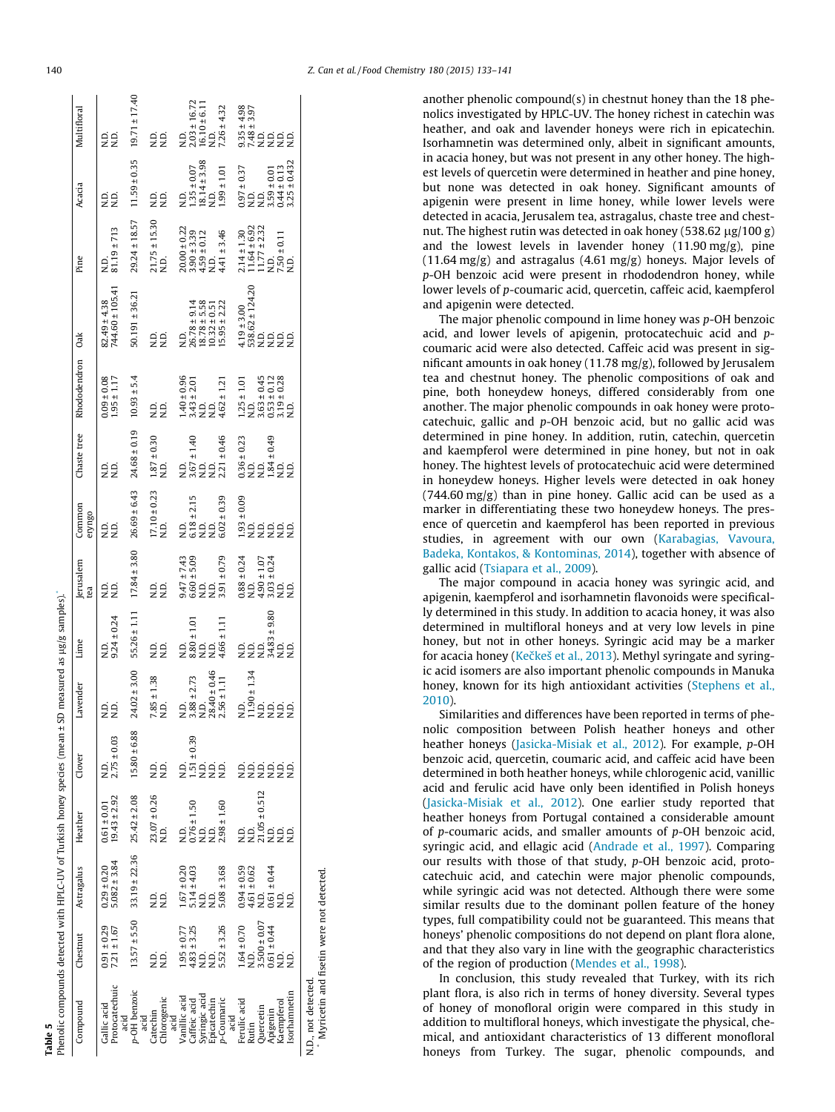<span id="page-7-0"></span>

Table 5

| Phenolic compounds detected with HPLC-UV of Turkish honey species (mean ± SD measured as µg/g samples). |                                    |                                                     |                                               |                                         |                                            |                                  |                                                    |                                                          |                                                                |                                                                                     |                                                                                                     |                                                         |                                                        |                                                                                                 |
|---------------------------------------------------------------------------------------------------------|------------------------------------|-----------------------------------------------------|-----------------------------------------------|-----------------------------------------|--------------------------------------------|----------------------------------|----------------------------------------------------|----------------------------------------------------------|----------------------------------------------------------------|-------------------------------------------------------------------------------------|-----------------------------------------------------------------------------------------------------|---------------------------------------------------------|--------------------------------------------------------|-------------------------------------------------------------------------------------------------|
| Compound                                                                                                | Chestnut                           | Astragalus                                          | Heather                                       | Clover                                  | Lavender                                   | Lime                             | Jerusalem<br>tea                                   | Common<br>eryngo                                         | Chaste tree                                                    | Rhododendron Oak                                                                    |                                                                                                     | Pine                                                    | Acacia                                                 | Multifloral                                                                                     |
| Protocatechuic<br>Gallic acid                                                                           | $7.21 \pm 1.67$<br>$0.91 \pm 0.29$ | $5.082 \pm 3.84$<br>$0.29 \pm 0.20$                 | $19.43 \pm 2.92$<br>$0.61 \pm 0.01$           | $2.75 \pm 0.03$                         | oo<br>Z Z                                  | $9.24 \pm 0.24$<br>۱D.<br>ا      | Q.<br>Z<br>Q.                                      | 22                                                       | o o<br>Z 2                                                     | $1.95 \pm 1.17$<br>$0.09 \pm 0.08$                                                  | 744.60 ± 105.41<br>$82.49 \pm 4.38$                                                                 | $81.19 \pm 713$                                         | oo<br>22                                               | oo<br>Z 2                                                                                       |
| p-OH benzoic<br>acid                                                                                    |                                    | $13.57 \pm 5.50$ $33.19 \pm 22.36$ $25.42 \pm 2.08$ |                                               | $15.80 \pm 6.88$                        | $24.02 \pm 3.00$                           | $55.26 \pm 1.11$                 | $17.84 \pm 3.80$                                   | $26.69 \pm 6.43$                                         | $24.68 \pm 0.19$                                               | $10.93 \pm 5.4$                                                                     | $50.191 \pm 36.21$                                                                                  | $29.24 \pm 18.57$                                       | $11.59 \pm 0.35$                                       | $19.71 \pm 17.40$                                                                               |
| Chlorogenic<br>Catechin<br>acid                                                                         | Q.                                 | oo<br>Z2                                            | $23.07 \pm 0.26$<br>N.D.                      | N.D.                                    | $7.85 \pm 1.38$<br>N.D.                    | $\frac{D}{Z}$                    | oo<br>Z2                                           | $17.10 \pm 0.23$<br>N.D.                                 | $1.87 \pm 0.30$<br>N.D.                                        | Q.<br>N.D.<br>N.D.                                                                  | o o<br>Z 2                                                                                          | $21.75 \pm 15.30$<br>N.D.                               | 22                                                     | 22                                                                                              |
| Vanillic acid<br>acid                                                                                   |                                    |                                                     | Q.<br>Z                                       | Q.                                      | ą                                          | Q.                               |                                                    | Q.                                                       |                                                                |                                                                                     | Q.                                                                                                  | $20.00 \pm 0.22$                                        |                                                        | Q.                                                                                              |
| Caffeic acid                                                                                            | $1.95 \pm 0.77$<br>4.83 ± 3.25     | $1.67 \pm 0.20$<br>5.14 $\pm$ 4.03<br>N.D.          |                                               |                                         | $3.88 \pm 2.73$<br>N.D.                    | $8.80 \pm 1.01$                  | $9.47 \pm 7.43$<br>6.60 ± 5.09<br>N.D.             | $6.18 \pm 2.15$<br>N.D.                                  |                                                                |                                                                                     |                                                                                                     |                                                         |                                                        |                                                                                                 |
| Syringic acid<br>Epicatechin                                                                            | 22                                 | Ġ,                                                  | $0.76 \pm 1.50$<br>N.D.<br>N.D.               | $1.51 \pm 0.39$<br>N.D.<br>N.D.<br>N.D. |                                            |                                  | Q.                                                 | Q.                                                       | N.D.<br>$3.67 \pm 1.40$<br>N.D.<br>2.21 $\pm$ 0.46             | $1.40 \pm 0.96$<br>$3.43 \pm 2.01$<br>N.D.<br>N.D.                                  | $\begin{array}{c} 26.78 \pm 9.14 \\ 18.78 \pm 5.58 \\ 10.32 \pm 0.51 \\ 15.95 \pm 2.22 \end{array}$ | $3.90 \pm 3.39$<br>$4.59 \pm 0.12$<br>N.D.              | N.D.<br>1.35±0.07<br>18.14±3.98<br>N.D.<br>1.99±1.01   | $\begin{array}{c} 2.03 \pm 16.72 \\ 16.10 \pm 6.11 \\ \text{N.D.} \\ 7.26 \pm 4.32 \end{array}$ |
| p-Coumaric<br>acid                                                                                      | $5.52 \pm 3.26$                    | $5.08 \pm 3.68$                                     | $2.98 \pm 1.60$                               |                                         | $28.40 \pm 0.46$<br>$2.56 \pm 1.11$        | $4.66 \pm 1.11$                  | $3.91 \pm 0.79$                                    | $6.02 \pm 0.39$                                          |                                                                | $4.62 \pm 1.21$                                                                     |                                                                                                     | $4.41 \pm 3.46$                                         |                                                        |                                                                                                 |
| Ferulic acid                                                                                            | $1.64 \pm 0.70$                    |                                                     |                                               |                                         |                                            |                                  | $0.88 \pm 0.24$<br>N.D.                            |                                                          |                                                                |                                                                                     |                                                                                                     |                                                         |                                                        |                                                                                                 |
| Rutin                                                                                                   |                                    | $0.94 \pm 0.59$<br>4.61 $\pm$ 0.62<br>N.D.          | N.D.<br>21.05 ± 0.512<br>N.D.<br>N.D.<br>N.D. | ooooo<br>zzzzz                          | N.D.<br>11.90±1.34<br>N.D.<br>N.D.<br>N.D. | ojoj<br>ZZZ                      |                                                    | - 0.09<br>- 0.01<br>- 0.01<br>- 0.01<br>- 0.01<br>- 0.01 | $0.36 \pm 0.23$<br>N.D.<br>N.D.<br>1.84 ± 0.49<br>N.D.<br>N.D. | $1.25 \pm 1.01$<br>N.D.<br>3.63 ± 0.45<br>3.63 ± 0.12<br>3.19 ± 0.28<br>3.19 ± 0.28 | $4.19 \pm 3.00$<br>538.62 ± 124.20<br>N.D.<br>N.D.<br>N.D.                                          | $2.14 \pm 1.30$<br>11.64 ± 6.92<br>11.77 ± 2.32<br>N.D. | $0.97 \pm 0.37$<br>N.D.<br>N.D.                        | $9.35 \pm 4.98$<br>7.48 $\pm 3.97$<br>N.D.<br>N.D.<br>N.D.<br>N.D.                              |
| Quercetin<br>Apigenin                                                                                   | $3.500 \pm 0.07$                   |                                                     |                                               |                                         |                                            |                                  | $4.90 \pm 1.07$<br>$3.03 \pm 0.24$<br>N.D.<br>N.D. |                                                          |                                                                |                                                                                     |                                                                                                     |                                                         |                                                        |                                                                                                 |
|                                                                                                         | $0.61 \pm 0.44$                    | $0.61 \pm 0.44$<br>N.D.                             |                                               |                                         |                                            | $34.83 \pm 9.80$<br>N.D.<br>N.D. |                                                    |                                                          |                                                                |                                                                                     |                                                                                                     |                                                         | $3.59 \pm 0.01$<br>0.44 $\pm$ 0.13<br>3.25 $\pm$ 0.432 |                                                                                                 |
| Kaempferol                                                                                              |                                    |                                                     |                                               |                                         |                                            |                                  |                                                    |                                                          |                                                                |                                                                                     |                                                                                                     | $7.50 \pm 0.11$<br>N.D.                                 |                                                        |                                                                                                 |
| Isorhamnetin                                                                                            | ≘<br>⊇                             | ن<br>خ                                              |                                               | Ω.                                      |                                            |                                  |                                                    |                                                          |                                                                |                                                                                     |                                                                                                     |                                                         |                                                        |                                                                                                 |

N.D., not detected. N.D., not detected.

Myricetin and fisetin were not detected. Myricetin and fisetin were not detected.

another phenolic compound(s) in chestnut honey than the 18 phenolics investigated by HPLC-UV. The honey richest in catechin was heather, and oak and lavender honeys were rich in epicatechin. Isorhamnetin was determined only, albeit in significant amounts, in acacia honey, but was not present in any other honey. The highest levels of quercetin were determined in heather and pine honey, but none was detected in oak honey. Significant amounts of apigenin were present in lime honey, while lower levels were detected in acacia, Jerusalem tea, astragalus, chaste tree and chestnut. The highest rutin was detected in oak honey (538.62  $\mu$ g/100 g) and the lowest levels in lavender honey (11.90 mg/g), pine (11.64 mg/g) and astragalus (4.61 mg/g) honeys. Major levels of p-OH benzoic acid were present in rhododendron honey, while lower levels of p-coumaric acid, quercetin, caffeic acid, kaempferol and apigenin were detected.

The major phenolic compound in lime honey was p-OH benzoic acid, and lower levels of apigenin, protocatechuic acid and pcoumaric acid were also detected. Caffeic acid was present in significant amounts in oak honey (11.78 mg/g), followed by Jerusalem tea and chestnut honey. The phenolic compositions of oak and pine, both honeydew honeys, differed considerably from one another. The major phenolic compounds in oak honey were protocatechuic, gallic and p-OH benzoic acid, but no gallic acid was determined in pine honey. In addition, rutin, catechin, quercetin and kaempferol were determined in pine honey, but not in oak honey. The hightest levels of protocatechuic acid were determined in honeydew honeys. Higher levels were detected in oak honey (744.60 mg/g) than in pine honey. Gallic acid can be used as a marker in differentiating these two honeydew honeys. The presence of quercetin and kaempferol has been reported in previous studies, in agreement with our own ([Karabagias, Vavoura,](#page-8-0) [Badeka, Kontakos, & Kontominas, 2014](#page-8-0)), together with absence of gallic acid ([Tsiapara et al., 2009\)](#page-8-0).

The major compound in acacia honey was syringic acid, and apigenin, kaempferol and isorhamnetin flavonoids were specifically determined in this study. In addition to acacia honey, it was also determined in multifloral honeys and at very low levels in pine honey, but not in other honeys. Syringic acid may be a marker for acacia honey (Kečkeš et al., 2013). Methyl syringate and syringic acid isomers are also important phenolic compounds in Manuka honey, known for its high antioxidant activities ([Stephens et al.,](#page-8-0) [2010\)](#page-8-0).

Similarities and differences have been reported in terms of phenolic composition between Polish heather honeys and other heather honeys [\(Jasicka-Misiak et al., 2012](#page-8-0)). For example, p-OH benzoic acid, quercetin, coumaric acid, and caffeic acid have been determined in both heather honeys, while chlorogenic acid, vanillic acid and ferulic acid have only been identified in Polish honeys ([Jasicka-Misiak et al., 2012](#page-8-0)). One earlier study reported that heather honeys from Portugal contained a considerable amount of p-coumaric acids, and smaller amounts of p-OH benzoic acid, syringic acid, and ellagic acid [\(Andrade et al., 1997\)](#page-8-0). Comparing our results with those of that study, p-OH benzoic acid, protocatechuic acid, and catechin were major phenolic compounds, while syringic acid was not detected. Although there were some similar results due to the dominant pollen feature of the honey types, full compatibility could not be guaranteed. This means that honeys' phenolic compositions do not depend on plant flora alone, and that they also vary in line with the geographic characteristics of the region of production [\(Mendes et al., 1998\)](#page-8-0).

In conclusion, this study revealed that Turkey, with its rich plant flora, is also rich in terms of honey diversity. Several types of honey of monofloral origin were compared in this study in addition to multifloral honeys, which investigate the physical, chemical, and antioxidant characteristics of 13 different monofloral honeys from Turkey. The sugar, phenolic compounds, and